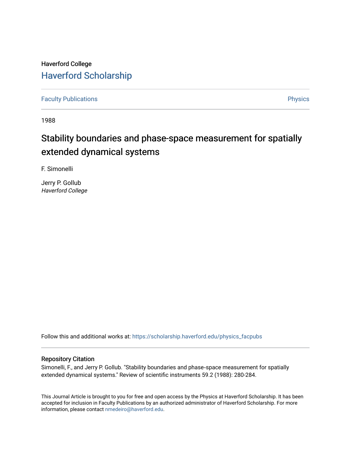Haverford College [Haverford Scholarship](https://scholarship.haverford.edu/)

[Faculty Publications](https://scholarship.haverford.edu/physics_facpubs) **Physics** 

1988

# Stability boundaries and phase-space measurement for spatially extended dynamical systems

F. Simonelli

Jerry P. Gollub Haverford College

Follow this and additional works at: [https://scholarship.haverford.edu/physics\\_facpubs](https://scholarship.haverford.edu/physics_facpubs?utm_source=scholarship.haverford.edu%2Fphysics_facpubs%2F69&utm_medium=PDF&utm_campaign=PDFCoverPages) 

#### Repository Citation

Simonelli, F., and Jerry P. Gollub. "Stability boundaries and phase‐space measurement for spatially extended dynamical systems." Review of scientific instruments 59.2 (1988): 280-284.

This Journal Article is brought to you for free and open access by the Physics at Haverford Scholarship. It has been accepted for inclusion in Faculty Publications by an authorized administrator of Haverford Scholarship. For more information, please contact [nmedeiro@haverford.edu.](mailto:nmedeiro@haverford.edu)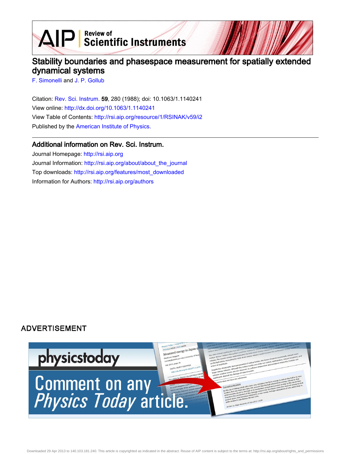$\mathbf{A} \mathbf{P}$  Scientific Instruments

# Stability boundaries and phasespace measurement for spatially extended dynamical systems

[F. Simonelli](http://rsi.aip.org/search?sortby=newestdate&q=&searchzone=2&searchtype=searchin&faceted=faceted&key=AIP_ALL&possible1=F. Simonelli&possible1zone=author&alias=&displayid=AIP&ver=pdfcov) and [J. P. Gollub](http://rsi.aip.org/search?sortby=newestdate&q=&searchzone=2&searchtype=searchin&faceted=faceted&key=AIP_ALL&possible1=J. P. Gollub&possible1zone=author&alias=&displayid=AIP&ver=pdfcov)

Citation: [Rev. Sci. Instrum.](http://rsi.aip.org?ver=pdfcov) 59, 280 (1988); doi: 10.1063/1.1140241 View online: [http://dx.doi.org/10.1063/1.1140241](http://link.aip.org/link/doi/10.1063/1.1140241?ver=pdfcov) View Table of Contents: [http://rsi.aip.org/resource/1/RSINAK/v59/i2](http://rsi.aip.org/resource/1/RSINAK/v59/i2?ver=pdfcov) Published by the [American Institute of Physics.](http://www.aip.org/?ver=pdfcov)

### Additional information on Rev. Sci. Instrum.

Journal Homepage: [http://rsi.aip.org](http://rsi.aip.org?ver=pdfcov) Journal Information: [http://rsi.aip.org/about/about\\_the\\_journal](http://rsi.aip.org/about/about_the_journal?ver=pdfcov) Top downloads: [http://rsi.aip.org/features/most\\_downloaded](http://rsi.aip.org/features/most_downloaded?ver=pdfcov) Information for Authors: [http://rsi.aip.org/authors](http://rsi.aip.org/authors?ver=pdfcov)

## **ADVERTISEMENT**

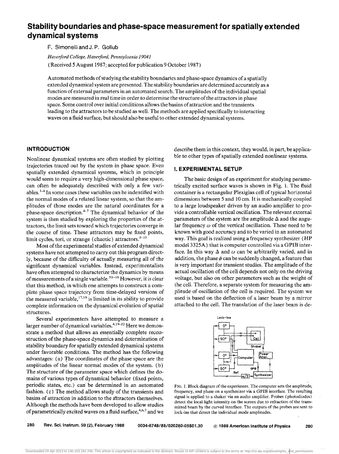# **Stability boundaries and phase-space measurement for spatially extended dynamical systems**

F. Simonelli and J.P. Gollub

*Havet:lord College, Haverford, Pennsylvania 19041* 

(Received 5 August 1987; accepted for publication 9 October 1987)

Automated methods of studying the stability boundaries and phase-space dynamics of a spatially extended dynamical system are presented. The stability boundaries are determined accurately as a function of external parameters in an automated search. The amplitudes of the individual spatial modes are measured in real time in order to determine the structure of the attractors in phase space. Some control over initial conditions allows the basins of attraction and the transients leading to the attractors to be studied as well. The methods are applied specifically to interacting waves on a fluid surface, but should also be useful to other extended dynamical systems.

#### **INTRODUCTION**

Nonlinear dynamical systems are often studied by plotting trajectories traced out by the system in phase space. Even spatially extended dynamical systems, which in principle would seem to require a very high-dimensional phase space, can often be adequately described with only a few variables.<sup>1-4</sup> In some cases these variables can be indentified with the normal modes of a related linear system, so that the amplitudes of those modes are the natural coordinates for a phase-space description. $4-7$  The dynamical behavior of the system is then studied by exploring the properties of the attractors, the limit sets toward which trajectories converge in the course of time. These attractors may be fixed points, limit cycles, tori, or strange (chaotic) attractors. <sup>8-10</sup>

Most of the experimental studies of extended dynamical systems have not attempted to carry out this program directly, because of the difficulty of actually measuring aU of the significant dynamical variables. Instead, experimentalists have often attempted to characterize the dynamics by means of measurements of a single variable.<sup>11-16</sup> However, it is clear that this method, in which one attempts to construct a complete phase space trajectory from time-delayed versions of the measured variable,  $17,18$  is limited in its ability to provide complete information on the dynamical evolution of spatial structures.

Several experimenters have attempted to measure a larger number of dynamical variables.<sup>4,19-22</sup> Here we demonstrate a method that allows an essentially complete reconstruction of the phase-space dynamics and determination of stability boundary for spatially extended dynamical systems under favorable conditions. The method has the following advantages: (a) The coordinates of the phase space are the amplitudes of the linear normal modes of the system. (b) The structure of the parameter space which defines the domains of various types of dynamical behavior (fixed points, periodic states, etc.) can' be determined in an automated fashion. (c) The method allows study of the transients and basins of attraction in addition to the attractors themselves. Although the methods have been developed to allow studies of parametrically excited waves on a fluid surface,<sup>4,6,7</sup> and we

describe them in this context, they would, in part, be applicable to other types of spatially extended nonlinear systems.

#### **I. EXPERIMENTAL SETUP**

The basic design of an experiment for studying parametrically excited surface waves is shown in Fig. 1. The fluid container is a rectangular Plexiglas cell of typical horizontal dimensions between 5 and 10 cm. It is mechanically coupled to a large loudspeaker driven by an audio amplifier to provide a controllable vertical oscillation. The relevant external parameters of the system are the amplitude  $\Delta$  and the angular frequency  $\omega$  of the vertical oscillation. These need to be known with good accuracy and to be varied in an automated way. This goal is realized using a frequency synthesizer (HP model 3325A) that is computer controlled via a GPIB interface. In this way  $\Delta$  and  $\omega$  can be arbitrarily varied, and in addition, the phase  $\phi$  can be suddenly changed, a feature that is very important for transient studies. The amplitude of the actual oscillation of the cell depends not only on the driving voltage, but also on other parameters such as the weight of the cell. Therefore, a separate system for measuring the amplitude of oscillation of the cell is required. The system we used is based on the deflection of a laser beam by a mirror attached to the cell. The translation of the laser beam is de-





280 Rev. Sci. Instrum. 59 (2), February 1988 0034-6748/88/020280-05\$01.30 @ 1988 American Institute of Physics 280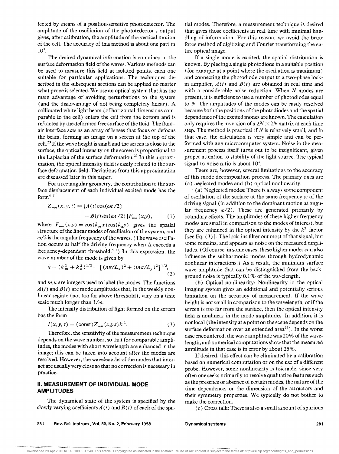tected by means of a position-sensitive photodetector. The amplitude of the oscillation of the phototedector's output gives, after calibration, the amplitude of the vertical motion of the cell. The accuracy of this method is about one part in  $10^3$ .

The desired dynamical information is contained in the surface deformation field of the waves. Various methods can be used to measure this field at isolated points, each one suitable for particular applications. The techniques described in the subsequent sections can be applied no matter what probe is selected. We use an optical system that has the main advantage of avoiding perturbations to the system (and the disadvantage of not being completely linear). A collimated white light beam (of horizontal dimensions comparable to the cell) enters the cell from the bottom and is refracted by the deformed free surface of the fluid. The fluidair interface acts as an array of lenses that focus or defocus the beam, forming an image on a screen at the top of the cell. 23 If the wave height is small and the screen is close to the surface, the optical intensity on the screen is proportional to the Laplacian of the surface deformation.<sup>23</sup> In this approximation, the optical intensity field is easily related to the surface deformation field. Deviations from this approximation are discussed later in this paper.

For a rectangular geometry, the contribution to the surface displacement of each individual excited mode has the  $form<sup>4-7</sup>$ 

$$
Z_{mn}(x, y, t) = [A(t)\cos(\omega t/2)
$$
  
+ 
$$
B(t)\sin(\omega t/2)]F_{mn}(x, y), \qquad (1)
$$

where  $F_{mn}(x,y) = \cos(k_m x) \cos(k_n y)$  gives the spatial structure of the linear modes of oscillation of the system, and *w/2* is the angular frequency of the waves. (The wave oscillation occurs at half the driving frequency when  $\Delta$  exceeds a frequency-dependent threshold. $4-7$ ) In this expression, the wave number of the mode is given by

$$
k = (k_m^2 + k_n^2)^{1/2} = \left[ (n\pi/L_x)^2 + (m\pi/L_y)^2 \right]^{1/2},
$$
\n(2)

and *m,n* are integers used to label the modes. The functions  $A(t)$  and  $B(t)$  are mode amplitudes that, in the weakly nonlinear regime (not too far above threshold), vary on a time scale much longer than  $1/\omega$ .

The intensity distribution of light formed on the screen has the form

$$
I(x, y, t) = (\text{const})Z_{mn}(x, y, t)k^{2}.
$$
 (3)

Therefore, the sensitivity of the measurement technique depends on the wave number, so that for comparable amplitudes, the modes with short wavelength are enhanced in the image; this can be taken into account after the modes are resolved. However, the wavelengths of the modes that interact are usually very close so that no correction is necessary in practice.

#### **II. MEASUREMENT OF INDIVIDUAL MODE AMPLITUDES**

The dynamical state of the system is specified by the slowly varying coefficients  $A(t)$  and  $B(t)$  of each of the spatial modes. Therefore, a measurement technique is desired that gives those coefficients in real time with minimal handling of information. For this reason, we avoid the brute force method of digitizing and Fourier transforming the entire optical image.

If a single mode is excited, the spatial distribution is known. By placing a single photodiode in a suitable position (for example at a point where the oscillation is maximum) and connecting the photodiode output to a two~phase lockin amplifier,  $A(t)$  and  $B(t)$  are obtained in real time and with a considerable noise reduction. When  $N$  modes are present, it is sufficient to use a number of photodiodes equal to *N.* The amplitudes of the modes can be easily resolved because both the positions of the photodiodes and the spatial dependence of the excited modes are known. The calculation only requires the inversion of a  $2N \times 2N$  matrix at each time step. The method is practical if  $N$  is relatively small, and in that case, the calculation is very simple and can be performed with any microcomputer system. Noise in the measurement process itself turns out to be insignificant, given proper attention to stability of the light source. The typical signal-to-noise ratio is about  $10<sup>3</sup>$ .

There are, however, several limitations to the accuracy of this mode decomposition process. The primary ones are (a) neglected modes and (b) optical nonlinearity.

(a) Neglected modes: There is always some component of oscillation of the surface at the same frequency  $\omega$  of the driving signal (in addition to the dominant motion at angular frequency  $\omega/2$ ). These are generated primarily by boundary effects. The amplitudes of these higher frequency modes are small in comparison to the modes of interest, but they are enhanced in the optical intensity by the  $k^2$  factor [see Eq.  $(3)$ ]. The lock-ins filter out most of that signal, but some remains, and appears as noise on the measured amplitudes. (Of course, in some cases, these higher modes can also influence the subharmonic modes through hydrodynamic nonlinear interactions.) As a result, the minimum surface wave amplitude that can be distinguished from the background noise is typically  $0.1\%$  of the wavelength.

(b) Optical nonlinearity: Nonlinearity in the optical imaging system gives an additional and potentially serious limitation on the accuracy of measurement. If the wave height is not small in comparison to the wavelength, or if the screen is too far from the surface, then the optical intensity field is nonlinear in the mode amplitudes. In addition, it is nonlocal (the intensity at a point on the scene depends on the surface deformation over an extended area<sup>23</sup>). In the worst case encountered, the wave amplitude was 20% of the wavelength, and numerical computations show that the measured amplitude in that case is in error by about 25%.

If desired, this effect can be eliminated by a calibration based on numerical computation or on the use of a different probe. However, some nonlinearity is tolerable, since very often one seeks primarily to resolve qualitative features such as the presence or absence of certain modes, the nature of the time dependence, or the dimension of the attractors and their symmetry properties. We typically do not bother to make the correction.

(c) Cross talk: There is also a small amount of spurious

281 Rev. Scl.lnstrum., Vol. 59, No.2, February **1988** 

Dynamical systems 281

... -......• -.-, •.••.•.•.•.. ,. .•.•.•.•....•.•.•.•.... -.•••••.•.•.•...•.•••.•••.• -•.•.•.. -.-•• -., •.•.•.•.•.•.. ·.~.·.v.·.:.:.:.:.:.:.-;;-·.·.·.····· Downloaded 29 Apr 2013 to 140.103.181.240. This article is copyrighted as indicated in the abstract. Reuse of AIP content is subject to the terms at: http://rsi.aip.org/about/rights\_and\_permissions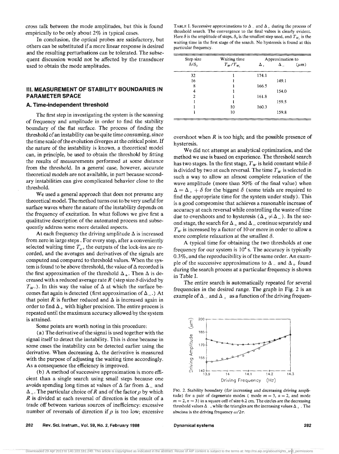cross talk between the mode amplitudes, but this is found empirically to be only about 2% in typical cases.

In conclusion, the optical probes are satisfactory, but others can be substituted if a more linear response is desired and the resulting perturbations can be tolerated. The subsequent discussion would not be affected by the transducer used to obtain the mode amplitudes.

#### **III. MEASUREMENT OF STABiliTY BOUNDARIES IN PARAMETER SPACE**

#### **A. Time-independent threshold**

The first step in investigating the system is the scanning of frequency and amplitude in order to find the stability boundary of the flat surface. The process of finding the threshold of an instability can be quite time consuming, since the time scale of the evolution diverges at the critical point. If the nature of the instability is known, a theoretical model can, in principle, be used to obtain the threshold by fitting the results of measurements performed at some distance from the threshold. In a general case, however, accurate theoretical models are not available, in part because secondary instabilities can give complicated behavior close to the threshold.

We used a general approach that does not presume any theoretical model. The method turns out to be very useful for surface waves where the nature of the instability depends on the frequency of excitation. In what follows we give first a qualitative description of the automated process and subsequently address some more detailed aspects.

At each frequency the driving amplitude  $\Delta$  is increased from zero in large steps. For every step, after a conveniently selected waiting time  $T_w$ , the outputs of the lock-ins are recorded, and the averages and derivatives of the signals are computed and compared to threshold values. When the system is found to be above threshold, the value of  $\Delta$  recorded is the first approximation of the threshold  $\Delta_+$ . Then  $\Delta$  is decreased with a reduced average rate  $R$  (step size  $\delta$  divided by  $T_W$ .). In this way the value of  $\Delta$  at which the surface becomes flat again is detected (first approximation of  $\Delta_{-}$ .) At that point  $R$  is further reduced and  $\Delta$  is increased again in order to find  $\Delta_+$  with higher precision. The entire process is repeated until the maximum accuracy allowed by the system is attained.

Some points are worth noting in this procedure:

(a) The derivative of the signal is used together with the signal itself to detect the instability. This is done because in some cases the instability can be detected earlier using the derivative. When decreasing  $\Delta$ , the derivative is measured with the purpose of adjusting the waiting time accordingly. As a consequence the efficiency is improved.

(b) A method of successive approximation is more efficient than a single search using small steps because one avoids spending long times at values of  $\Delta$  far from  $\Delta$ <sub>n</sub> and  $\Delta_+$ . The particular choice of R and of the factor  $\rho$  by which *R* is divided at each reversal of direction is the result of a trade off between various sources of inefficiency: excessive number of reversals of direction if  $\rho$  is too low; excessive TABLE I. Successive approximations to  $\Delta_{-}$  and  $\Delta_{+}$  during the process of threshold search. The convergence to the tina! values is clearly evident. Here  $\delta$  is the amplitude of steps,  $\delta_0$  is the smallest step used, and  $T_{W_0}$  is the waiting time in the first stage of the search. No hysteresis is found at this particular frequency.

| Step size<br>$\delta/\delta_0$ | Waiting time<br>$T_w/T_w$ | Approximation to |              |           |
|--------------------------------|---------------------------|------------------|--------------|-----------|
|                                |                           | Δ.               | $\Delta_{-}$ | $(\mu m)$ |
| 32                             |                           | 174.1            |              |           |
| 16                             |                           |                  | 149.1        |           |
| 8                              |                           | 166.5            |              |           |
| 4                              |                           |                  | 154.0        |           |
| າ                              |                           | 161.8            |              |           |
|                                |                           |                  | 159.5        |           |
|                                | 10                        | 160.3            |              |           |
|                                | 10                        |                  | 159.8        |           |
|                                |                           |                  |              |           |

overshoot when *R* is too high; and the possible presence of hysteresis.

We did not attempt an analytical optimization, and the method we use is based on experience. The threshold search has two stages. In the first stage,  $T_W$  is held constant while  $\delta$ is divided by two at each reversal. The time  $T_w$  is selected in such a way to allow an almost complete relaxation of the wave amplitude (more than 50% of the final value) when  $\Delta = \Delta_{+} + \delta$  for the biggest  $\delta$  (some trials are required to find the appropriate time for the system under study). This is a good compromise that achieves a reasonable increase of accuracy at each reversal while controlling the waste of time due to overshoots and to hysteresis ( $\Delta_+ \neq \Delta_-$ ). In the second stage, the search for  $\Delta_+$  and  $\Delta_-$  continue separately and  $T_w$  is increased by a factor of 10 or more in order to allow a more complete relaxation at the smallest  $\delta$ .

A typical time for obtaining the two thresholds at one frequency for our system is  $10<sup>4</sup>$  s. The accuracy is typically 0.3%, and the reproducibility is of the same order. An example of the successive approximations to  $\Delta_{-}$  and  $\Delta_{+}$  found during the search process at a particular frequency is shown in Table 1.

The entire search is automatically repeated for several frequencies in the desired range. The graph in Fig. 2 is an example of  $\Delta_{-}$  and  $\Delta_{+}$  as a function of the driving frequen-



FIG. 2. Stability boundary (for increasing and decreasing driving amplitude) for a pair of degenerate modes (mode  $m = 3$ ,  $n = 2$ , and mode  $m = 2$ ,  $n = 3$ ) in a square cell of size 6.2 cm. The circles are the decreasing threshold values  $\Delta_{-+}$ , while the triangles are the increasing values  $\Delta_{+}$ . The abscissa is the driving frequency  $\omega/2\pi$ .

282 Rev. Sci. Instrum., Vol. 59, No. 2, February 1988

Dynamical systems 282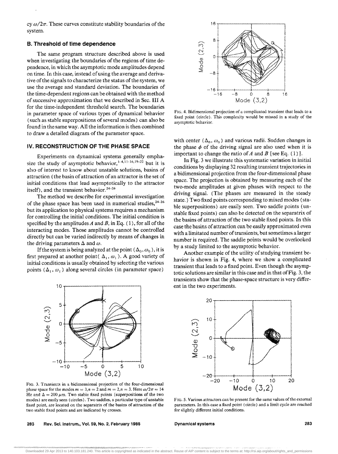cy  $\omega/2\pi$ . These curves constitute stability boundaries of the system.

#### B. Threshold of time dependence

The same program structure described above is used when investigating the boundaries of the regions of time dependence, in which the asymptotic mode amplitudes depend on time. In this case, instead of using the average and derivative of the signals to characterize the status of the system, we use the average and standard deviation. The boundaries of the time-dependent regions can be obtained with the method of successive approximation that we described in Sec. III A for the time-independent threshold search. The boundaries in parameter space of various types of dynamical behavior (such as stable superpositions of several modes) can also be found in the same way. All the information is then combined to draw a detailed diagram of the parameter space.

#### IV. RECONSTRUCTION OF THE PHASE SPACE

Experiments on dynamical systems generally emphasize the study of asymptotic behavior,  $^{1.4,11.16,19-22}$  but it is also of interest to know about unstable solutions, basins of attraction (the basin of attraction of an attractor is the set of initial conditions that lead asymptotically to the attractor itself), and the transient behavior.<sup>24-26</sup>

The method we describe for experimental investigation of the phase space has been used in numerical studies,  $24-26$ but its application to physical systems requires a mechanism for controlling the initial conditions. The initial condition is specified by the amplitudes  $A$  and  $B$ , in Eq. (1), for all of the interacting modes. Those amplitudes cannot be controlled directly but can be varied indirectly by means of changes in the driving parameters  $\Delta$  and  $\omega$ .

If the system is being analyzed at the point ( $\Delta_0, \omega_0$ ), it is first prepared at another point( $\Delta_1, \omega_1$ ). A good variety of initial conditions is usually obtained by selecting the various points  $(\Delta_1, \omega_1)$  along several circles (in parameter space)



FIG. 3, Transients in a bidimensional projection of the four-dimensional phase space for the modes  $m = 3, n = 2$  and  $m = 2, n = 3$ . Here  $\omega/2\pi = 14$ Hz and  $\Delta = 200 \ \mu \text{m}$ . Two stable fixed points (superpositions of the two modes) are easily seen (circles). Two saddles, a particular type of unstable fixed point, are located on the separatrix of the basins of attraction of the two stable fixed points and are indicated by crosses.

283 Rev. Sci. Instrum., Vol. 59, No.2, February 1988



FIG. 4. Bidimensional projection of a complicated transient that leads to a fixed point (circle), This complexity would be missed in a study of the asymptotic behavior.

with center  $(\Delta_0, \omega_0)$  and various radii. Sudden changes in the phase  $\phi$  of the driving signal are also used when it is important to change the ratio of A and B [see Eq. (1)].

In Fig. 3 we illustrate this systematic variation in initial conditions by displaying 32 resulting transient trajectories in a bidimensional projection from the four-dimensional phase space. The projection is obtained by measuring each of the two-mode amplitudes at given phases with respect to the driving signal. (The phases are measured in the steady state.) Two fixed points corresponding to mixed modes (stable superpositions) are easily seen. Two saddle points (unstable fixed points) can also be detected on the separatrix of the basins of attraction of the two stable fixed points. In this case the basins of attraction can be easily approximated even with a limitated number of transients, but sometimes a larger number is required. The saddle points would be overlooked by a study limited to the asymptotic behavior.

Another example of the utility of studying transient behavior is shown in Fig. 4, where we show a complicated transient that leads to a fixed point. Even though the asymptotic solutions are similar in this case and in that of Fig. 3, the transients show that the phase-space structure is very different in the two experiments.



FIG. 5. Various attractors can be present for the same values of the external parameters. In this case a fixed point (circle) and a limit cycle are reached for slightly different initial conditions.

#### Dynamical systems 283